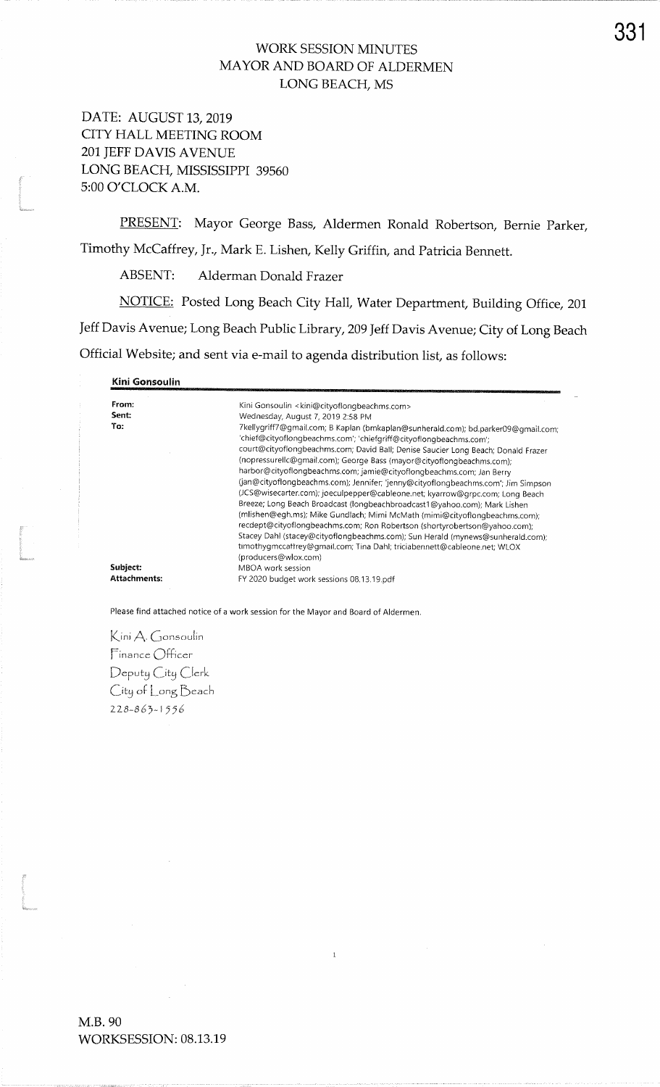## WORK SESSION MINUTES MAYOR AND BOARD OF ALDERMENLONG BEACH, MS

DATE: AUGUST 13,2019 CITY HALL MEETING ROOM2Ol IEFF DAVIS AVENUELONG BEACH, MISSISSIPPI 39560 5:00 O'CLOCK A.M.

PRESENT: Mayor George Bass, Aldermen Ronald Robertson, Bernie Parker, Timothy McCaffrey, Jr., Mark E. Lishen, Kelly Griffin, and Patricia Bennett.

ABSENT: Alderman Donald Frazer

NOTICE: Posted Long Beach City Hall, Water Department, Building Office, <sup>201</sup>Jeff Davis Avenue; Long Beach Public Library, 209 Jeff Davis Avenue; City of Long Beach Official Website; and sent via e-mail to agenda distribution list, as follows:

Kini Gonsoulin

| From:<br>Sent:<br>To: | Kini Gonsoulin <kini@cityoflongbeachms.com><br/>Wednesday, August 7, 2019 2:58 PM<br/>7kellygriff7@gmail.com; B Kaplan (bmkaplan@sunherald.com); bd.parker09@gmail.com;</kini@cityoflongbeachms.com>                                                                                                                    |
|-----------------------|-------------------------------------------------------------------------------------------------------------------------------------------------------------------------------------------------------------------------------------------------------------------------------------------------------------------------|
|                       | 'chief@cityoflongbeachms.com'; 'chiefgriff@cityoflongbeachms.com';<br>court@cityoflongbeachms.com; David Ball; Denise Saucier Long Beach; Donald Frazer<br>(nopressurellc@gmail.com); George Bass (mayor@cityoflongbeachms.com);                                                                                        |
|                       | harbor@cityoflongbeachms.com; jamie@cityoflongbeachms.com; Jan Berry<br>(jan@cityoflongbeachms.com); Jennifer; 'jenny@cityoflongbeachms.com'; Jim Simpson<br>(JCS@wisecarter.com); joeculpepper@cableone.net; kyarrow@grpc.com; Long Beach<br>Breeze; Long Beach Broadcast (longbeachbroadcast1@yahoo.com); Mark Lishen |
|                       | (mlishen@egh.ms); Mike Gundlach; Mimi McMath (mimi@cityoflongbeachms.com);<br>recdept@cityoflongbeachms.com; Ron Robertson (shortyrobertson@yahoo.com);<br>Stacey Dahl (stacey@cityoflongbeachms.com); Sun Herald (mynews@sunherald.com);<br>timothygmccaffrey@gmail.com; Tina Dahl; triciabennett@cableone.net; WLOX   |
|                       | (producers@wlox.com)                                                                                                                                                                                                                                                                                                    |
| Subject:              | MBOA work session                                                                                                                                                                                                                                                                                                       |
| Attachments:          | FY 2020 budget work sessions 08.13.19.pdf                                                                                                                                                                                                                                                                               |

 $\mathbf{1}$ 

Please find attached notice of a work session for the Mayor and Board of Aldermen.

Kini A. Gonsoulin  $Finance$  Officer Deputy City Clerk  $C$ ity of  $\bigsqcup$ ong  $\operatorname{Beach}$  $228 - 863 - 1556$ 

**I** 

r<br>L<br>Manseezo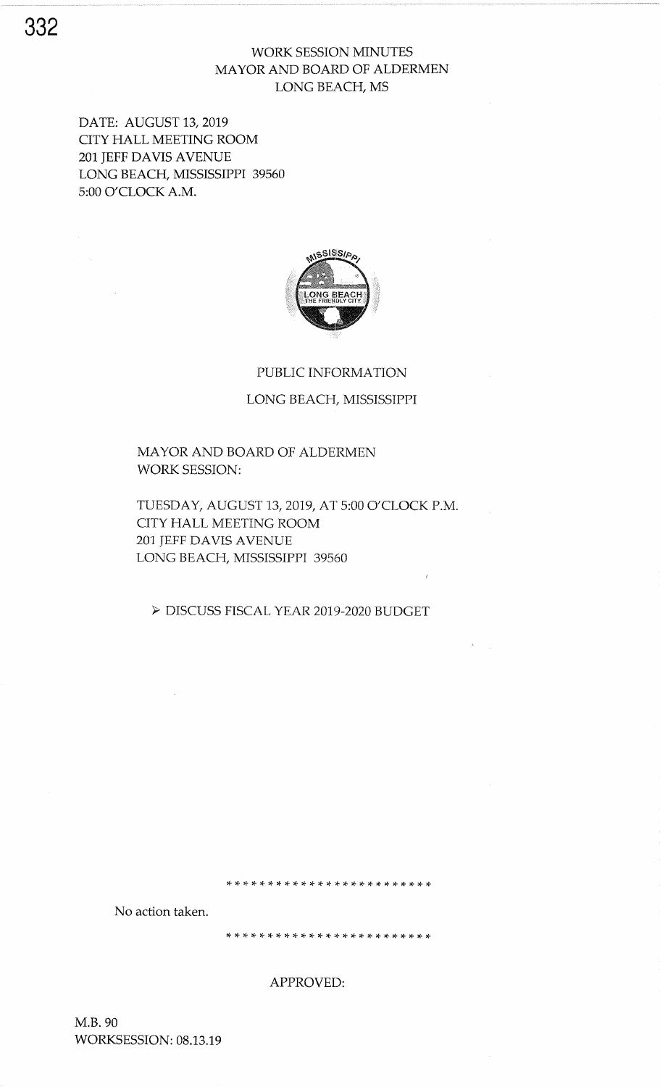# WORK SESSION MINUTES MAYOR AND BOARD OF ALDERMEN LONG BEACH, MS

DATE: AUGUST 13,2019 CITY HALL MEETING ROOM 2ol JEFF DAVIS AVENUE' LONG BEACH, MISSISSIPPI 39560 5:00 O'CLOCK A.M.



#### PUBLIC INFORMATION

LONG BEACH, MISSISSPPI

## MAYOR AND BOARD OF ALDERMEN WORK SESSION:

TUESDAY, AUGUST 13,2019, AT 5:00 O'CLOCK P.M. CITY HALL MEETING ROOM 201 JEFF DAVIS AVENUE LONG BEACH, MISSISSPPI 39560

> DISCUSS FISCAL YEAR 2019-2020 BUDGET

 $\lambda_{\rm{max}}$ 

No action taken.

 $\mathcal{A}^{\mathcal{A}}$ 

APPROVED:

\* :l. rF t! \* rF :F rF rF tt tt tt !t \* \* \* :t tt rt rt rt t+ :F rt rt

ina.<br>Prana

M.8.90 WORKSESSION: 08.13.19